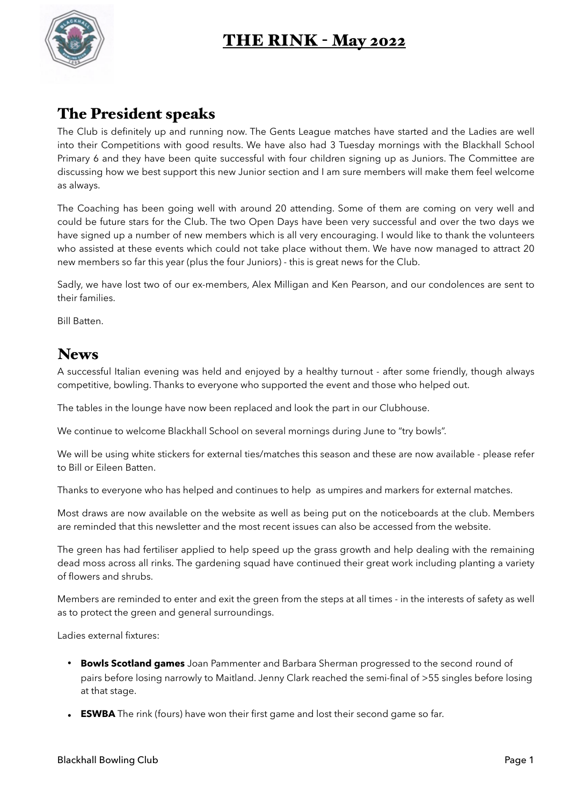## THE RINK - May 2022



## The President speaks

The Club is definitely up and running now. The Gents League matches have started and the Ladies are well into their Competitions with good results. We have also had 3 Tuesday mornings with the Blackhall School Primary 6 and they have been quite successful with four children signing up as Juniors. The Committee are discussing how we best support this new Junior section and I am sure members will make them feel welcome as always.

The Coaching has been going well with around 20 attending. Some of them are coming on very well and could be future stars for the Club. The two Open Days have been very successful and over the two days we have signed up a number of new members which is all very encouraging. I would like to thank the volunteers who assisted at these events which could not take place without them. We have now managed to attract 20 new members so far this year (plus the four Juniors) - this is great news for the Club.

Sadly, we have lost two of our ex-members, Alex Milligan and Ken Pearson, and our condolences are sent to their families.

Bill Batten.

## **News**

A successful Italian evening was held and enjoyed by a healthy turnout - after some friendly, though always competitive, bowling. Thanks to everyone who supported the event and those who helped out.

The tables in the lounge have now been replaced and look the part in our Clubhouse.

We continue to welcome Blackhall School on several mornings during June to "try bowls".

We will be using white stickers for external ties/matches this season and these are now available - please refer to Bill or Eileen Batten.

Thanks to everyone who has helped and continues to help as umpires and markers for external matches.

Most draws are now available on the website as well as being put on the noticeboards at the club. Members are reminded that this newsletter and the most recent issues can also be accessed from the website.

The green has had fertiliser applied to help speed up the grass growth and help dealing with the remaining dead moss across all rinks. The gardening squad have continued their great work including planting a variety of flowers and shrubs.

Members are reminded to enter and exit the green from the steps at all times - in the interests of safety as well as to protect the green and general surroundings.

Ladies external fixtures:

- **Bowls Scotland games** Joan Pammenter and Barbara Sherman progressed to the second round of pairs before losing narrowly to Maitland. Jenny Clark reached the semi-final of >55 singles before losing at that stage.
- **ESWBA** The rink (fours) have won their first game and lost their second game so far.